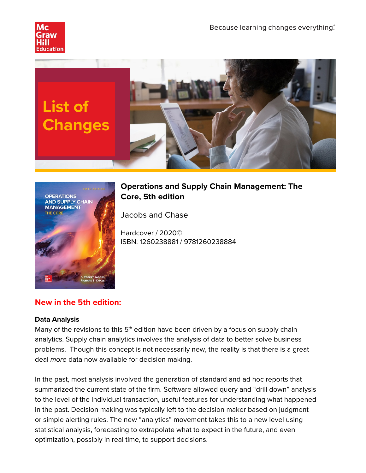





# **Operations and Supply Chain Management: The Core, 5th edition**

Jacobs and Chase

Hardcover / 2020© ISBN: 1260238881 / 9781260238884

# **New in the 5th edition:**

#### **Data Analysis**

Many of the revisions to this  $5<sup>th</sup>$  edition have been driven by a focus on supply chain analytics. Supply chain analytics involves the analysis of data to better solve business problems. Though this concept is not necessarily new, the reality is that there is a great deal *more* data now available for decision making.

In the past, most analysis involved the generation of standard and ad hoc reports that summarized the current state of the firm. Software allowed query and "drill down" analysis to the level of the individual transaction, useful features for understanding what happened in the past. Decision making was typically left to the decision maker based on judgment or simple alerting rules. The new "analytics" movement takes this to a new level using statistical analysis, forecasting to extrapolate what to expect in the future, and even optimization, possibly in real time, to support decisions.